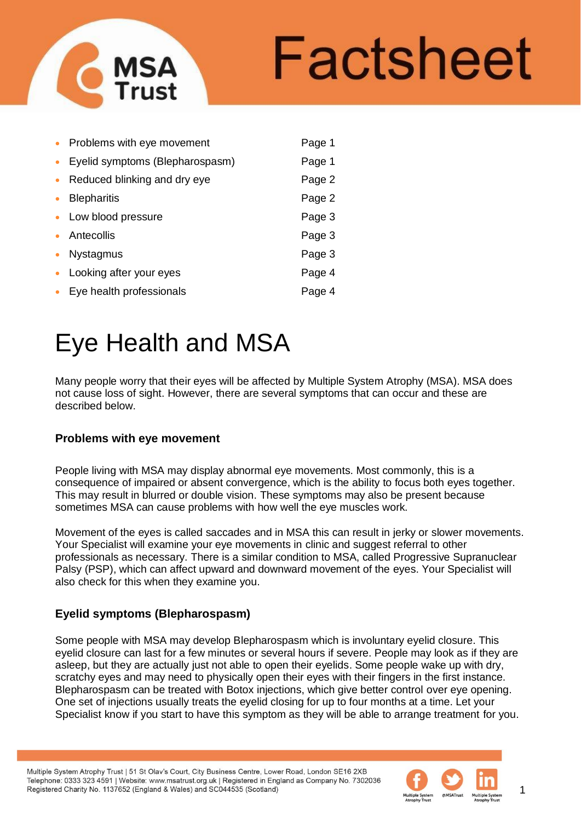

| $\bullet$ | Problems with eye movement      | Page 1 |
|-----------|---------------------------------|--------|
| $\bullet$ | Eyelid symptoms (Blepharospasm) | Page 1 |
| $\bullet$ | Reduced blinking and dry eye    | Page 2 |
| $\bullet$ | <b>Blepharitis</b>              | Page 2 |
|           | • Low blood pressure            | Page 3 |
|           | • Antecollis                    | Page 3 |
| $\bullet$ | <b>Nystagmus</b>                | Page 3 |
|           | • Looking after your eyes       | Page 4 |
|           | • Eye health professionals      | Page 4 |

Many people worry that their eyes will be affected by Multiple System Atrophy (MSA). MSA does not cause loss of sight. However, there are several symptoms that can occur and these are described below.

# **Problems with eye movement**

**MSA**<br>Trust

People living with MSA may display abnormal eye movements. Most commonly, this is a consequence of impaired or absent convergence, which is the ability to focus both eyes together. This may result in blurred or double vision. These symptoms may also be present because sometimes MSA can cause problems with how well the eye muscles work.

Movement of the eyes is called saccades and in MSA this can result in jerky or slower movements. Your Specialist will examine your eye movements in clinic and suggest referral to other professionals as necessary. There is a similar condition to MSA, called Progressive Supranuclear Palsy (PSP), which can affect upward and downward movement of the eyes. Your Specialist will also check for this when they examine you.

# **Eyelid symptoms (Blepharospasm)**

Some people with MSA may develop Blepharospasm which is involuntary eyelid closure. This eyelid closure can last for a few minutes or several hours if severe. People may look as if they are asleep, but they are actually just not able to open their eyelids. Some people wake up with dry, scratchy eyes and may need to physically open their eyes with their fingers in the first instance. Blepharospasm can be treated with Botox injections, which give better control over eye opening. One set of injections usually treats the eyelid closing for up to four months at a time. Let your Specialist know if you start to have this symptom as they will be able to arrange treatment for you.

Multiple System Atrophy Trust | 51 St Olav's Court, City Business Centre, Lower Road, London SE16 2XB Telephone: 0333 323 4591 | Website: www.msatrust.org.uk | Registered in England as Company No. 7302036 Registered Charity No. 1137652 (England & Wales) and SC044535 (Scotland)



1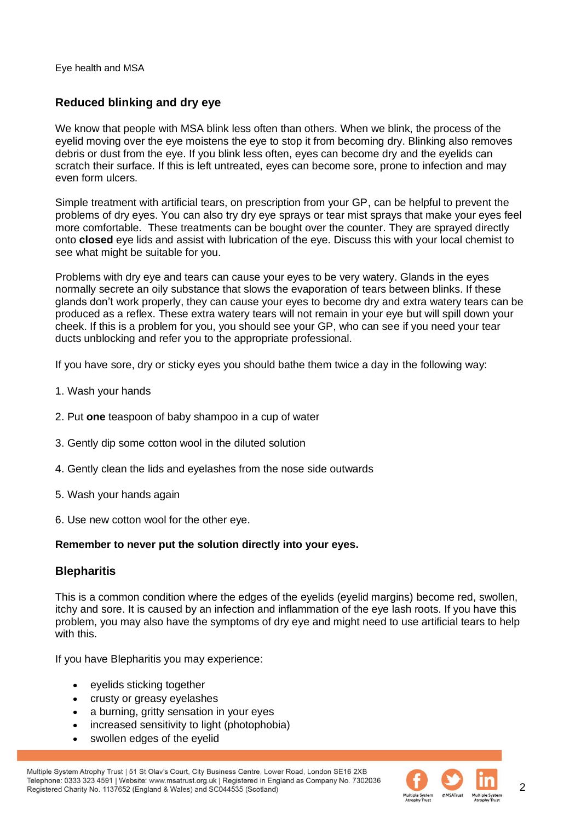# **Reduced blinking and dry eye**

We know that people with MSA blink less often than others. When we blink, the process of the eyelid moving over the eye moistens the eye to stop it from becoming dry. Blinking also removes debris or dust from the eye. If you blink less often, eyes can become dry and the eyelids can scratch their surface. If this is left untreated, eyes can become sore, prone to infection and may even form ulcers.

Simple treatment with artificial tears, on prescription from your GP, can be helpful to prevent the problems of dry eyes. You can also try dry eye sprays or tear mist sprays that make your eyes feel more comfortable. These treatments can be bought over the counter. They are sprayed directly onto **closed** eye lids and assist with lubrication of the eye. Discuss this with your local chemist to see what might be suitable for you.

Problems with dry eye and tears can cause your eyes to be very watery. Glands in the eyes normally secrete an oily substance that slows the evaporation of tears between blinks. If these glands don't work properly, they can cause your eyes to become dry and extra watery tears can be produced as a reflex. These extra watery tears will not remain in your eye but will spill down your cheek. If this is a problem for you, you should see your GP, who can see if you need your tear ducts unblocking and refer you to the appropriate professional.

If you have sore, dry or sticky eyes you should bathe them twice a day in the following way:

- 1. Wash your hands
- 2. Put **one** teaspoon of baby shampoo in a cup of water
- 3. Gently dip some cotton wool in the diluted solution
- 4. Gently clean the lids and eyelashes from the nose side outwards
- 5. Wash your hands again
- 6. Use new cotton wool for the other eye.

## **Remember to never put the solution directly into your eyes.**

## **Blepharitis**

This is a common condition where the edges of the eyelids (eyelid margins) become red, swollen, itchy and sore. It is caused by an infection and inflammation of the eye lash roots. If you have this problem, you may also have the symptoms of dry eye and might need to use artificial tears to help with this.

If you have Blepharitis you may experience:

- eyelids sticking together
- crusty or greasy eyelashes
- a burning, gritty sensation in your eyes
- increased sensitivity to light (photophobia)
- swollen edges of the eyelid

Multiple System Atrophy Trust | 51 St Olav's Court, City Business Centre, Lower Road, London SE16 2XB Telephone: 0333 323 4591 | Website: www.msatrust.org.uk | Registered in England as Company No. 7302036 Registered Charity No. 1137652 (England & Wales) and SC044535 (Scotland)



 $\mathfrak{p}$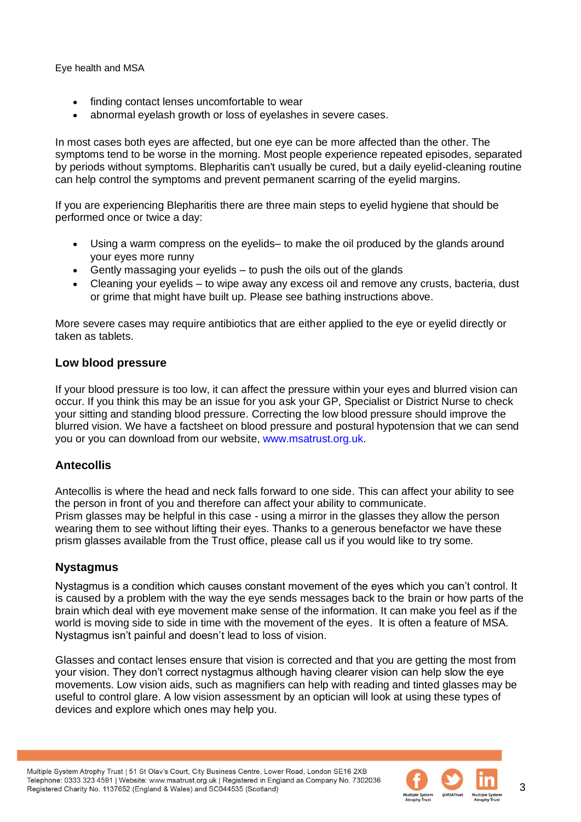- finding contact lenses uncomfortable to wear
- abnormal evelash growth or loss of evelashes in severe cases.

In most cases both eyes are affected, but one eye can be more affected than the other. The symptoms tend to be worse in the morning. Most people experience repeated episodes, separated by periods without symptoms. Blepharitis can't usually be cured, but a daily eyelid-cleaning routine can help control the symptoms and prevent permanent scarring of the eyelid margins.

If you are experiencing Blepharitis there are three main steps to eyelid hygiene that should be performed once or twice a day:

- Using a warm compress on the eyelids– to make the oil produced by the glands around your eyes more runny
- Gently massaging your eyelids to push the oils out of the glands
- Cleaning your eyelids to wipe away any excess oil and remove any crusts, bacteria, dust or grime that might have built up. Please see bathing instructions above.

More severe cases may require antibiotics that are either applied to the eye or eyelid directly or taken as tablets.

## **Low blood pressure**

If your blood pressure is too low, it can affect the pressure within your eyes and blurred vision can occur. If you think this may be an issue for you ask your GP, Specialist or District Nurse to check your sitting and standing blood pressure. Correcting the low blood pressure should improve the blurred vision. We have a factsheet on blood pressure and postural hypotension that we can send you or you can download from our website, [www.msatrust.org.uk.](http://www.msatrust.org.uk/)

## **Antecollis**

Antecollis is where the head and neck falls forward to one side. This can affect your ability to see the person in front of you and therefore can affect your ability to communicate. Prism glasses may be helpful in this case - using a mirror in the glasses they allow the person wearing them to see without lifting their eyes. Thanks to a generous benefactor we have these prism glasses available from the Trust office, please call us if you would like to try some.

## **Nystagmus**

Nystagmus is a condition which causes constant movement of the eyes which you can't control. It is caused by a problem with the way the eye sends messages back to the brain or how parts of the brain which deal with eye movement make sense of the information. It can make you feel as if the world is moving side to side in time with the movement of the eyes. It is often a feature of MSA. Nystagmus isn't painful and doesn't lead to loss of vision.

Glasses and contact lenses ensure that vision is corrected and that you are getting the most from your vision. They don't correct nystagmus although having clearer vision can help slow the eye movements. Low vision aids, such as magnifiers can help with reading and tinted glasses may be useful to control glare. A low vision assessment by an optician will look at using these types of devices and explore which ones may help you.



3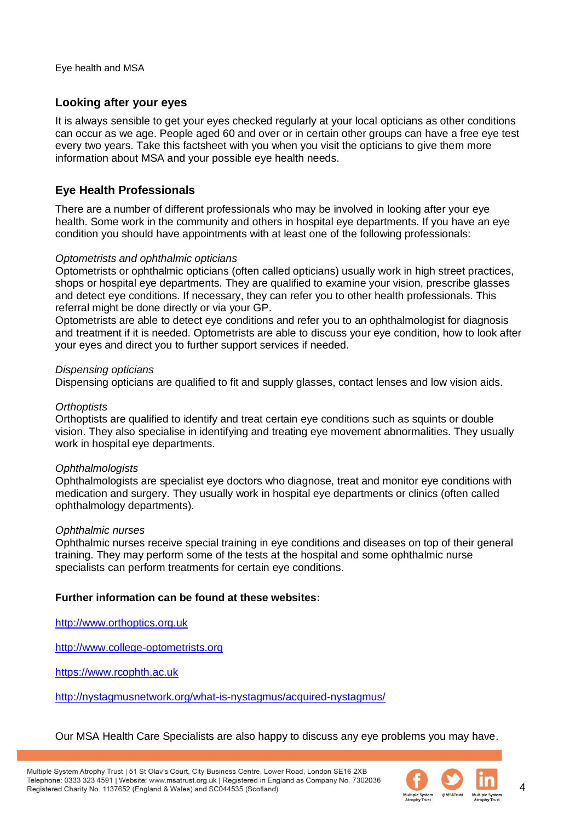## **Looking after your eyes**

It is always sensible to get your eyes checked regularly at your local opticians as other conditions can occur as we age. People aged 60 and over or in certain other groups can have a free eye test every two years. Take this factsheet with you when you visit the opticians to give them more information about MSA and your possible eye health needs.

## **Eye Health Professionals**

There are a number of different professionals who may be involved in looking after your eye health. Some work in the community and others in hospital eye departments. If you have an eye condition you should have appointments with at least one of the following professionals:

### *Optometrists and ophthalmic opticians*

Optometrists or ophthalmic opticians (often called opticians) usually work in high street practices, shops or hospital eye departments. They are qualified to examine your vision, prescribe glasses and detect eye conditions. If necessary, they can refer you to other health professionals. This referral might be done directly or via your GP.

Optometrists are able to detect eye conditions and refer you to an ophthalmologist for diagnosis and treatment if it is needed. Optometrists are able to discuss your eye condition, how to look after your eyes and direct you to further support services if needed.

#### *Dispensing opticians*

Dispensing opticians are qualified to fit and supply glasses, contact lenses and low vision aids.

### *Orthoptists*

Orthoptists are qualified to identify and treat certain eye conditions such as squints or double vision. They also specialise in identifying and treating eye movement abnormalities. They usually work in hospital eye departments.

#### *Ophthalmologists*

Ophthalmologists are specialist eye doctors who diagnose, treat and monitor eye conditions with medication and surgery. They usually work in hospital eye departments or clinics (often called ophthalmology departments).

#### *Ophthalmic nurses*

Ophthalmic nurses receive special training in eye conditions and diseases on top of their general training. They may perform some of the tests at the hospital and some ophthalmic nurse specialists can perform treatments for certain eye conditions.

#### **Further information can be found at these websites:**

[http://www.orthoptics.org.uk](http://www.orthoptics.org.uk/)

[http://www.college-optometrists.org](http://www.college-optometrists.org/)

[https://www.rcophth.ac.uk](https://www.rcophth.ac.uk/)

<http://nystagmusnetwork.org/what-is-nystagmus/acquired-nystagmus/>

Our MSA Health Care Specialists are also happy to discuss any eye problems you may have.



4